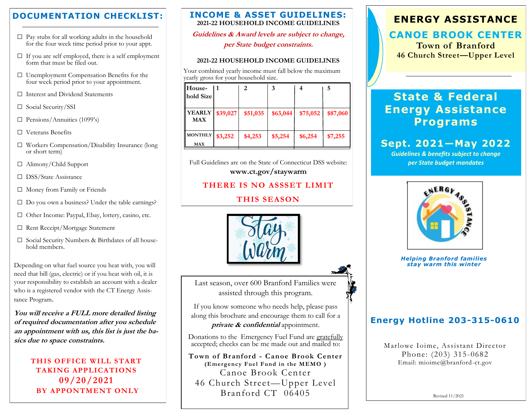## **DOCUMENTATION CHECKLIST:**

- $\Box$  Pay stubs for all working adults in the household for the four week time period prior to your appt.
- $\square$  If you are self employed, there is a self employment form that must be filed out.
- □ Unemployment Compensation Benefits for the four week period prior to your appointment.
- □ Interest and Dividend Statements
- □ Social Security/SSI
- $\square$  Pensions/Annuities (1099's)
- □ Veterans Benefits
- □ Workers Compensation/Disability Insurance (long or short term)
- □ Alimony/Child Support
- □ DSS/State Assistance
- □ Money from Family or Friends
- $\Box$  Do you own a business? Under the table earnings?
- □ Other Income: Paypal, Ebay, lottery, casino, etc.
- □ Rent Receipt/Mortgage Statement
- □ Social Security Numbers & Birthdates of all household members.

Depending on what fuel source you heat with, you will need that bill (gas, electric) or if you heat with oil, it is your responsibility to establish an account with a dealer who is a registered vendor with the CT Energy Assistance Program.

**You will receive a FULL more detailed listing of required documentation after you schedule an appointment with us, this list is just the basics due to space constraints.**

> **THIS OFFICE WILL START TAKING APPLICATIONS 09/20/2021 BY APPONTMENT ONLY**

### **INCOME & ASSET GUIDELINES: 2021-22 HOUSEHOLD INCOME GUIDELINES**

**Guidelines & Award levels are subject to change,**

**per State budget constraints.**

### **2021-22 HOUSEHOLD INCOME GUIDELINES**

Your combined yearly income must fall below the maximum yearly gross for your household size.

|          | 2        | 3        |          |          |
|----------|----------|----------|----------|----------|
|          |          |          |          |          |
|          |          |          |          |          |
| \$39,027 | \$51,035 | \$63,044 | \$75,052 | \$87,060 |
| \$3,252  | \$4,253  | \$5,254  | \$6,254  | \$7,255  |
|          |          |          |          |          |

Full Guidelines are on the State of Connecticut DSS website: **www.ct.gov/staywarm**

## **THERE IS NO ASSSET LIMIT**

## **THIS SEASON**



Last season, over 600 Branford Families were assisted through this program.

If you know someone who needs help, please pass along this brochure and encourage them to call for a **private & confidential** appointment.

Donations to the Emergency Fuel Fund are gratefully accepted; checks can be me made out and mailed to:

**Town of Branford - Canoe Brook Center (Emergency Fuel Fund in the MEMO )** Canoe Brook Center 46 Church Street—Upper Level Branford CT 06405

# **ENERGY ASSISTANCE**

## **CANOE BROOK CENTER**

**Town of Branford 46 Church Street—Upper Level** 

# **State & Federal Energy Assistance Programs**

# **Sept. 2021—May 2022**

*Guidelines & benefits subject to change per State budget mandates*



*Helping Branford families stay warm this winter*

## **Energy Hotline 203-315-0610**

Marlowe Ioime, Assistant Director Phone: (203) 315-0682 Email: mioime@branford-ct.gov

Revised 11/2021